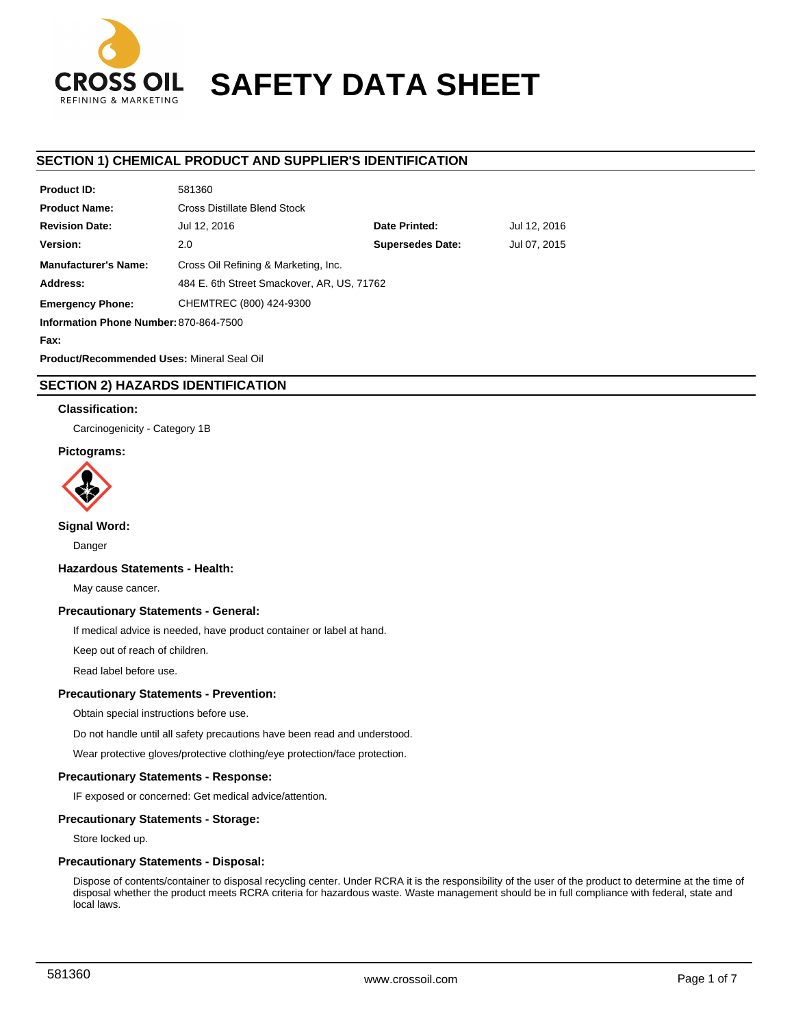

# **SAFETY DATA SHEET**

### **SECTION 1) CHEMICAL PRODUCT AND SUPPLIER'S IDENTIFICATION**

| <b>Product ID:</b>                     | 581360                                     |                         |              |
|----------------------------------------|--------------------------------------------|-------------------------|--------------|
| <b>Product Name:</b>                   | Cross Distillate Blend Stock               |                         |              |
| <b>Revision Date:</b>                  | Jul 12, 2016                               | Date Printed:           | Jul 12, 2016 |
| Version:                               | 2.0                                        | <b>Supersedes Date:</b> | Jul 07, 2015 |
| <b>Manufacturer's Name:</b>            | Cross Oil Refining & Marketing, Inc.       |                         |              |
| Address:                               | 484 E. 6th Street Smackover, AR, US, 71762 |                         |              |
| <b>Emergency Phone:</b>                | CHEMTREC (800) 424-9300                    |                         |              |
| Information Phone Number: 870-864-7500 |                                            |                         |              |
| Fax:                                   |                                            |                         |              |

**Product/Recommended Uses:** Mineral Seal Oil

### **SECTION 2) HAZARDS IDENTIFICATION**

### **Classification:**

Carcinogenicity - Category 1B

### **Pictograms:**



**Signal Word:**

Danger

### **Hazardous Statements - Health:**

May cause cancer.

### **Precautionary Statements - General:**

If medical advice is needed, have product container or label at hand.

Keep out of reach of children.

Read label before use.

### **Precautionary Statements - Prevention:**

Obtain special instructions before use.

Do not handle until all safety precautions have been read and understood.

Wear protective gloves/protective clothing/eye protection/face protection.

### **Precautionary Statements - Response:**

IF exposed or concerned: Get medical advice/attention.

### **Precautionary Statements - Storage:**

Store locked up.

### **Precautionary Statements - Disposal:**

Dispose of contents/container to disposal recycling center. Under RCRA it is the responsibility of the user of the product to determine at the time of disposal whether the product meets RCRA criteria for hazardous waste. Waste management should be in full compliance with federal, state and local laws.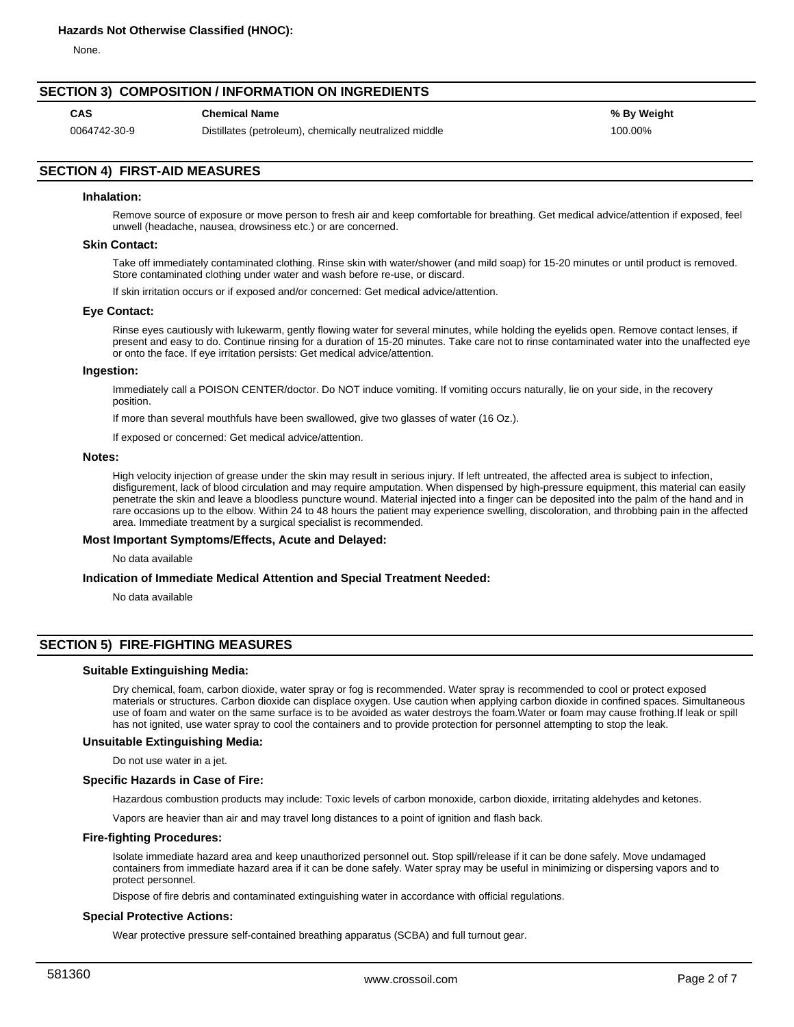None.

### **SECTION 3) COMPOSITION / INFORMATION ON INGREDIENTS**

**CAS Chemical Name % By Weight**

0064742-30-9 Distillates (petroleum), chemically neutralized middle 100.00% 100.00%

### **SECTION 4) FIRST-AID MEASURES**

### **Inhalation:**

Remove source of exposure or move person to fresh air and keep comfortable for breathing. Get medical advice/attention if exposed, feel unwell (headache, nausea, drowsiness etc.) or are concerned.

### **Skin Contact:**

Take off immediately contaminated clothing. Rinse skin with water/shower (and mild soap) for 15-20 minutes or until product is removed. Store contaminated clothing under water and wash before re-use, or discard.

If skin irritation occurs or if exposed and/or concerned: Get medical advice/attention.

#### **Eye Contact:**

Rinse eyes cautiously with lukewarm, gently flowing water for several minutes, while holding the eyelids open. Remove contact lenses, if present and easy to do. Continue rinsing for a duration of 15-20 minutes. Take care not to rinse contaminated water into the unaffected eye or onto the face. If eye irritation persists: Get medical advice/attention.

#### **Ingestion:**

Immediately call a POISON CENTER/doctor. Do NOT induce vomiting. If vomiting occurs naturally, lie on your side, in the recovery position.

If more than several mouthfuls have been swallowed, give two glasses of water (16 Oz.).

If exposed or concerned: Get medical advice/attention.

#### **Notes:**

High velocity injection of grease under the skin may result in serious injury. If left untreated, the affected area is subject to infection, disfigurement, lack of blood circulation and may require amputation. When dispensed by high-pressure equipment, this material can easily penetrate the skin and leave a bloodless puncture wound. Material injected into a finger can be deposited into the palm of the hand and in rare occasions up to the elbow. Within 24 to 48 hours the patient may experience swelling, discoloration, and throbbing pain in the affected area. Immediate treatment by a surgical specialist is recommended.

### **Most Important Symptoms/Effects, Acute and Delayed:**

No data available

#### **Indication of Immediate Medical Attention and Special Treatment Needed:**

No data available

### **SECTION 5) FIRE-FIGHTING MEASURES**

### **Suitable Extinguishing Media:**

Dry chemical, foam, carbon dioxide, water spray or fog is recommended. Water spray is recommended to cool or protect exposed materials or structures. Carbon dioxide can displace oxygen. Use caution when applying carbon dioxide in confined spaces. Simultaneous use of foam and water on the same surface is to be avoided as water destroys the foam.Water or foam may cause frothing.If leak or spill has not ignited, use water spray to cool the containers and to provide protection for personnel attempting to stop the leak.

### **Unsuitable Extinguishing Media:**

Do not use water in a jet.

#### **Specific Hazards in Case of Fire:**

Hazardous combustion products may include: Toxic levels of carbon monoxide, carbon dioxide, irritating aldehydes and ketones.

Vapors are heavier than air and may travel long distances to a point of ignition and flash back.

#### **Fire-fighting Procedures:**

Isolate immediate hazard area and keep unauthorized personnel out. Stop spill/release if it can be done safely. Move undamaged containers from immediate hazard area if it can be done safely. Water spray may be useful in minimizing or dispersing vapors and to protect personnel.

Dispose of fire debris and contaminated extinguishing water in accordance with official regulations.

#### **Special Protective Actions:**

Wear protective pressure self-contained breathing apparatus (SCBA) and full turnout gear.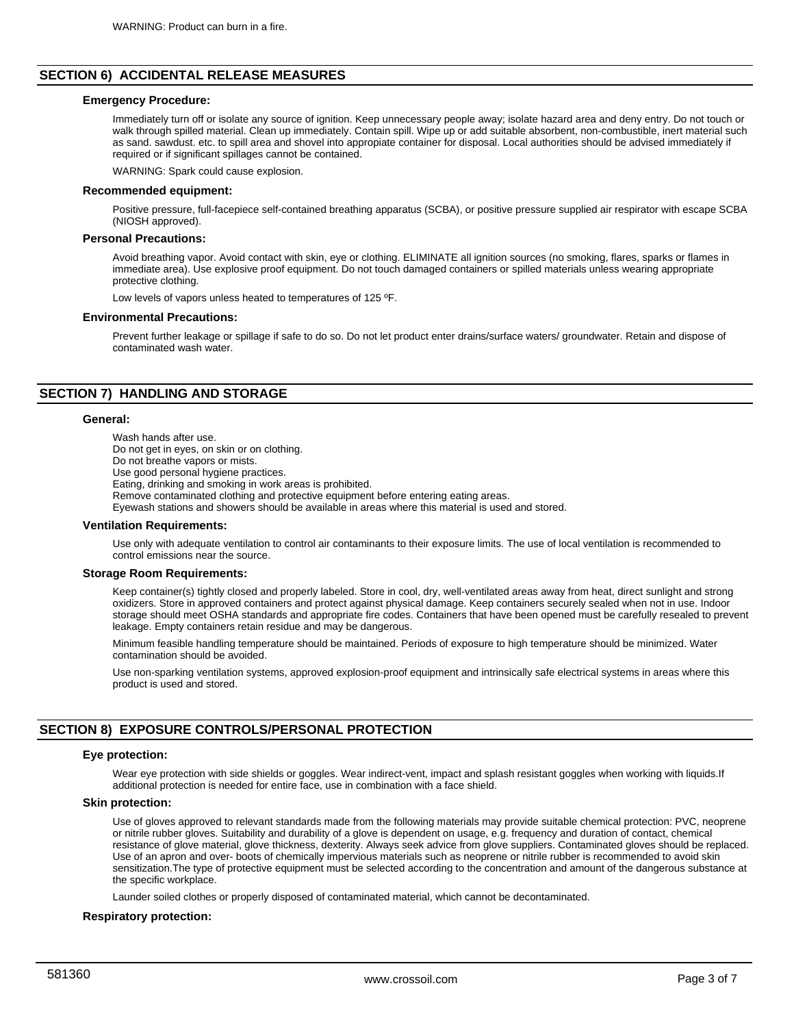### **SECTION 6) ACCIDENTAL RELEASE MEASURES**

### **Emergency Procedure:**

Immediately turn off or isolate any source of ignition. Keep unnecessary people away; isolate hazard area and deny entry. Do not touch or walk through spilled material. Clean up immediately. Contain spill. Wipe up or add suitable absorbent, non-combustible, inert material such as sand. sawdust. etc. to spill area and shovel into appropiate container for disposal. Local authorities should be advised immediately if required or if significant spillages cannot be contained.

WARNING: Spark could cause explosion.

#### **Recommended equipment:**

Positive pressure, full-facepiece self-contained breathing apparatus (SCBA), or positive pressure supplied air respirator with escape SCBA (NIOSH approved).

### **Personal Precautions:**

Avoid breathing vapor. Avoid contact with skin, eye or clothing. ELIMINATE all ignition sources (no smoking, flares, sparks or flames in immediate area). Use explosive proof equipment. Do not touch damaged containers or spilled materials unless wearing appropriate protective clothing.

Low levels of vapors unless heated to temperatures of 125 ºF.

#### **Environmental Precautions:**

Prevent further leakage or spillage if safe to do so. Do not let product enter drains/surface waters/ groundwater. Retain and dispose of contaminated wash water.

### **SECTION 7) HANDLING AND STORAGE**

### **General:**

Wash hands after use. Do not get in eyes, on skin or on clothing. Do not breathe vapors or mists. Use good personal hygiene practices. Eating, drinking and smoking in work areas is prohibited. Remove contaminated clothing and protective equipment before entering eating areas. Eyewash stations and showers should be available in areas where this material is used and stored.

### **Ventilation Requirements:**

Use only with adequate ventilation to control air contaminants to their exposure limits. The use of local ventilation is recommended to control emissions near the source.

#### **Storage Room Requirements:**

Keep container(s) tightly closed and properly labeled. Store in cool, dry, well-ventilated areas away from heat, direct sunlight and strong oxidizers. Store in approved containers and protect against physical damage. Keep containers securely sealed when not in use. Indoor storage should meet OSHA standards and appropriate fire codes. Containers that have been opened must be carefully resealed to prevent leakage. Empty containers retain residue and may be dangerous.

Minimum feasible handling temperature should be maintained. Periods of exposure to high temperature should be minimized. Water contamination should be avoided.

Use non-sparking ventilation systems, approved explosion-proof equipment and intrinsically safe electrical systems in areas where this product is used and stored.

### **SECTION 8) EXPOSURE CONTROLS/PERSONAL PROTECTION**

#### **Eye protection:**

Wear eye protection with side shields or goggles. Wear indirect-vent, impact and splash resistant goggles when working with liquids.If additional protection is needed for entire face, use in combination with a face shield.

### **Skin protection:**

Use of gloves approved to relevant standards made from the following materials may provide suitable chemical protection: PVC, neoprene or nitrile rubber gloves. Suitability and durability of a glove is dependent on usage, e.g. frequency and duration of contact, chemical resistance of glove material, glove thickness, dexterity. Always seek advice from glove suppliers. Contaminated gloves should be replaced. Use of an apron and over- boots of chemically impervious materials such as neoprene or nitrile rubber is recommended to avoid skin sensitization.The type of protective equipment must be selected according to the concentration and amount of the dangerous substance at the specific workplace.

Launder soiled clothes or properly disposed of contaminated material, which cannot be decontaminated.

#### **Respiratory protection:**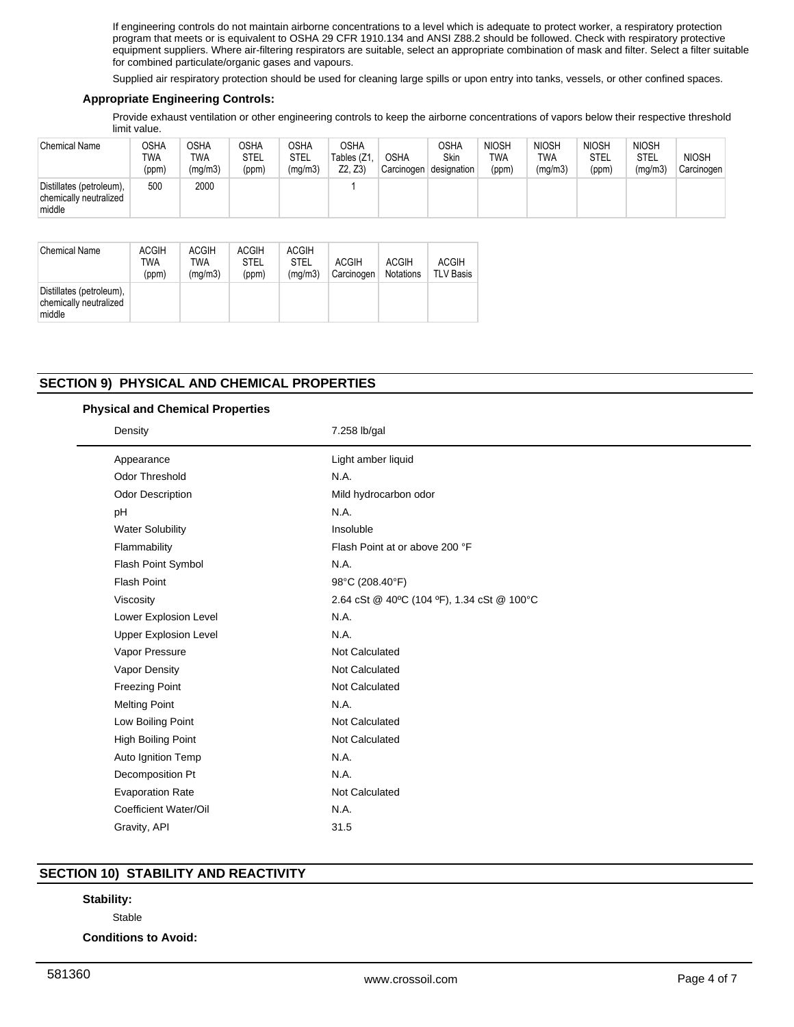If engineering controls do not maintain airborne concentrations to a level which is adequate to protect worker, a respiratory protection program that meets or is equivalent to OSHA 29 CFR 1910.134 and ANSI Z88.2 should be followed. Check with respiratory protective equipment suppliers. Where air-filtering respirators are suitable, select an appropriate combination of mask and filter. Select a filter suitable for combined particulate/organic gases and vapours.

Supplied air respiratory protection should be used for cleaning large spills or upon entry into tanks, vessels, or other confined spaces.

### **Appropriate Engineering Controls:**

Provide exhaust ventilation or other engineering controls to keep the airborne concentrations of vapors below their respective threshold limit value.

| <b>Chemical Name</b>                                         | OSHA<br><b>TWA</b><br>(ppm) | OSHA<br>TWA<br>(mg/m3) | <b>OSHA</b><br>STEL<br>(ppm) | OSHA<br>STEL<br>(mg/m3) | <b>OSHA</b><br>Tables (Z1<br>Z2, Z3) | <b>OSHA</b><br>Carcinogen | OSHA<br>Skin<br>designation | <b>NIOSH</b><br>TWA<br>(ppm) | <b>NIOSH</b><br>TWA<br>(mg/m3) | <b>NIOSH</b><br>STEL<br>(ppm) | <b>NIOSH</b><br><b>STEL</b><br>(mg/m3) | <b>NIOSH</b><br>Carcinogen |
|--------------------------------------------------------------|-----------------------------|------------------------|------------------------------|-------------------------|--------------------------------------|---------------------------|-----------------------------|------------------------------|--------------------------------|-------------------------------|----------------------------------------|----------------------------|
| Distillates (petroleum),<br>chemically neutralized<br>middle | 500                         | 2000                   |                              |                         |                                      |                           |                             |                              |                                |                               |                                        |                            |

| <b>Chemical Name</b>                                         | <b>ACGIH</b><br>TWA<br>(ppm) | <b>ACGIH</b><br>TWA<br>(mq/m3) | <b>ACGIH</b><br><b>STEL</b><br>(ppm) | <b>ACGIH</b><br><b>STEL</b><br>(mq/m3) | <b>ACGIH</b><br>Carcinogen | <b>ACGIH</b><br><b>Notations</b> | <b>ACGIH</b><br><b>TLV Basis</b> |
|--------------------------------------------------------------|------------------------------|--------------------------------|--------------------------------------|----------------------------------------|----------------------------|----------------------------------|----------------------------------|
| Distillates (petroleum),<br>chemically neutralized<br>middle |                              |                                |                                      |                                        |                            |                                  |                                  |

### **SECTION 9) PHYSICAL AND CHEMICAL PROPERTIES**

### **Physical and Chemical Properties**

| Density                      | 7.258 lb/gal                               |  |
|------------------------------|--------------------------------------------|--|
| Appearance                   | Light amber liquid                         |  |
| <b>Odor Threshold</b>        | N.A.                                       |  |
| Odor Description             | Mild hydrocarbon odor                      |  |
| pH                           | N.A.                                       |  |
| <b>Water Solubility</b>      | Insoluble                                  |  |
| Flammability                 | Flash Point at or above 200 °F             |  |
| Flash Point Symbol           | N.A.                                       |  |
| <b>Flash Point</b>           | 98°C (208.40°F)                            |  |
| Viscosity                    | 2.64 cSt @ 40°C (104 °F), 1.34 cSt @ 100°C |  |
| Lower Explosion Level        | N.A.                                       |  |
| <b>Upper Explosion Level</b> | N.A.                                       |  |
| Vapor Pressure               | Not Calculated                             |  |
| Vapor Density                | Not Calculated                             |  |
| <b>Freezing Point</b>        | Not Calculated                             |  |
| <b>Melting Point</b>         | N.A.                                       |  |
| Low Boiling Point            | Not Calculated                             |  |
| High Boiling Point           | <b>Not Calculated</b>                      |  |
| Auto Ignition Temp           | N.A.                                       |  |
| Decomposition Pt             | N.A.                                       |  |
| <b>Evaporation Rate</b>      | Not Calculated                             |  |
| Coefficient Water/Oil        | N.A.                                       |  |
| Gravity, API                 | 31.5                                       |  |

### **SECTION 10) STABILITY AND REACTIVITY**

## **Stability:**

Stable

**Conditions to Avoid:**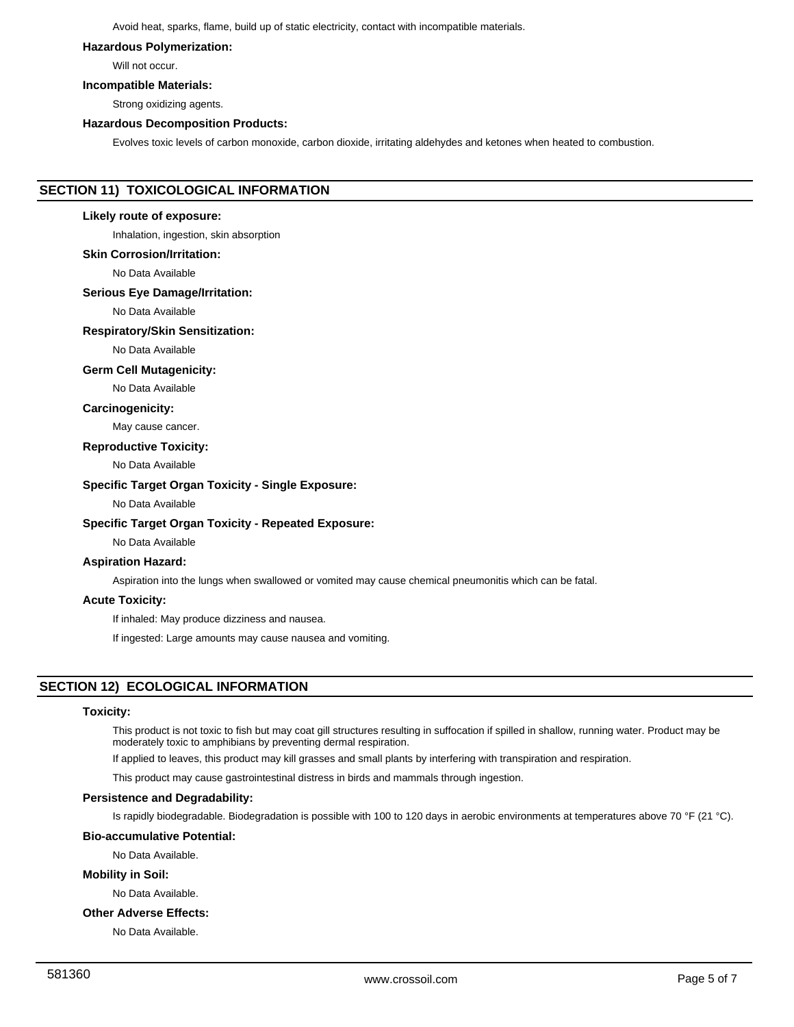Avoid heat, sparks, flame, build up of static electricity, contact with incompatible materials.

#### **Hazardous Polymerization:**

Will not occur.

### **Incompatible Materials:**

Strong oxidizing agents.

### **Hazardous Decomposition Products:**

Evolves toxic levels of carbon monoxide, carbon dioxide, irritating aldehydes and ketones when heated to combustion.

### **SECTION 11) TOXICOLOGICAL INFORMATION**

#### **Likely route of exposure:**

Inhalation, ingestion, skin absorption

### **Skin Corrosion/Irritation:**

No Data Available

### **Serious Eye Damage/Irritation:**

No Data Available

### **Respiratory/Skin Sensitization:**

No Data Available

### **Germ Cell Mutagenicity:**

No Data Available

### **Carcinogenicity:**

May cause cancer.

#### **Reproductive Toxicity:**

No Data Available

### **Specific Target Organ Toxicity - Single Exposure:**

No Data Available

### **Specific Target Organ Toxicity - Repeated Exposure:**

No Data Available

### **Aspiration Hazard:**

Aspiration into the lungs when swallowed or vomited may cause chemical pneumonitis which can be fatal.

#### **Acute Toxicity:**

If inhaled: May produce dizziness and nausea.

If ingested: Large amounts may cause nausea and vomiting.

### **SECTION 12) ECOLOGICAL INFORMATION**

### **Toxicity:**

This product is not toxic to fish but may coat gill structures resulting in suffocation if spilled in shallow, running water. Product may be moderately toxic to amphibians by preventing dermal respiration.

If applied to leaves, this product may kill grasses and small plants by interfering with transpiration and respiration.

This product may cause gastrointestinal distress in birds and mammals through ingestion.

### **Persistence and Degradability:**

Is rapidly biodegradable. Biodegradation is possible with 100 to 120 days in aerobic environments at temperatures above 70 °F (21 °C).

### **Bio-accumulative Potential:**

No Data Available.

### **Mobility in Soil:**

No Data Available.

#### **Other Adverse Effects:**

No Data Available.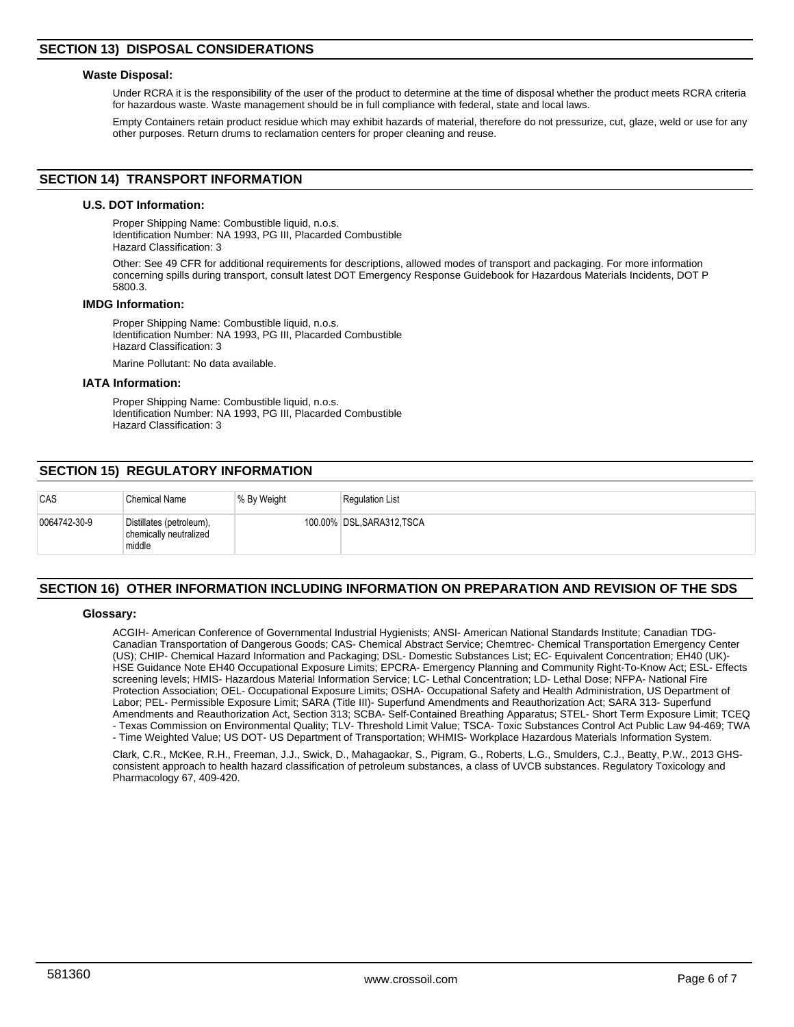### **Waste Disposal:**

Under RCRA it is the responsibility of the user of the product to determine at the time of disposal whether the product meets RCRA criteria for hazardous waste. Waste management should be in full compliance with federal, state and local laws.

Empty Containers retain product residue which may exhibit hazards of material, therefore do not pressurize, cut, glaze, weld or use for any other purposes. Return drums to reclamation centers for proper cleaning and reuse.

### **SECTION 14) TRANSPORT INFORMATION**

### **U.S. DOT Information:**

Proper Shipping Name: Combustible liquid, n.o.s. Identification Number: NA 1993, PG III, Placarded Combustible Hazard Classification: 3

Other: See 49 CFR for additional requirements for descriptions, allowed modes of transport and packaging. For more information concerning spills during transport, consult latest DOT Emergency Response Guidebook for Hazardous Materials Incidents, DOT P 5800.3.

#### **IMDG Information:**

Proper Shipping Name: Combustible liquid, n.o.s. Identification Number: NA 1993, PG III, Placarded Combustible Hazard Classification: 3

Marine Pollutant: No data available.

### **IATA Information:**

Proper Shipping Name: Combustible liquid, n.o.s. Identification Number: NA 1993, PG III, Placarded Combustible Hazard Classification: 3

### **SECTION 15) REGULATORY INFORMATION**

| CAS          | Chemical Name                                                | % By Weight | <b>Requlation List</b>     |
|--------------|--------------------------------------------------------------|-------------|----------------------------|
| 0064742-30-9 | Distillates (petroleum),<br>chemically neutralized<br>middle |             | 100.00% DSL, SARA312, TSCA |

### **SECTION 16) OTHER INFORMATION INCLUDING INFORMATION ON PREPARATION AND REVISION OF THE SDS**

### **Glossary:**

ACGIH- American Conference of Governmental Industrial Hygienists; ANSI- American National Standards Institute; Canadian TDG-Canadian Transportation of Dangerous Goods; CAS- Chemical Abstract Service; Chemtrec- Chemical Transportation Emergency Center (US); CHIP- Chemical Hazard Information and Packaging; DSL- Domestic Substances List; EC- Equivalent Concentration; EH40 (UK)- HSE Guidance Note EH40 Occupational Exposure Limits; EPCRA- Emergency Planning and Community Right-To-Know Act; ESL- Effects screening levels; HMIS- Hazardous Material Information Service; LC- Lethal Concentration; LD- Lethal Dose; NFPA- National Fire Protection Association; OEL- Occupational Exposure Limits; OSHA- Occupational Safety and Health Administration, US Department of Labor; PEL- Permissible Exposure Limit; SARA (Title III)- Superfund Amendments and Reauthorization Act; SARA 313- Superfund Amendments and Reauthorization Act, Section 313; SCBA- Self-Contained Breathing Apparatus; STEL- Short Term Exposure Limit; TCEQ - Texas Commission on Environmental Quality; TLV- Threshold Limit Value; TSCA- Toxic Substances Control Act Public Law 94-469; TWA - Time Weighted Value; US DOT- US Department of Transportation; WHMIS- Workplace Hazardous Materials Information System.

Clark, C.R., McKee, R.H., Freeman, J.J., Swick, D., Mahagaokar, S., Pigram, G., Roberts, L.G., Smulders, C.J., Beatty, P.W., 2013 GHSconsistent approach to health hazard classification of petroleum substances, a class of UVCB substances. Regulatory Toxicology and Pharmacology 67, 409-420.